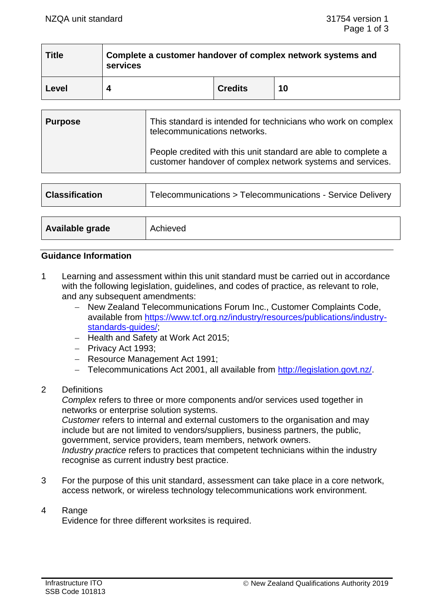$\overline{\phantom{a}}$  . The contract of the contract of the contract of the contract of the contract of the contract of the contract of the contract of the contract of the contract of the contract of the contract of the contract of

| <b>Title</b> | Complete a customer handover of complex network systems and<br>services |                |    |  |
|--------------|-------------------------------------------------------------------------|----------------|----|--|
| Level        |                                                                         | <b>Credits</b> | 10 |  |

| <b>Purpose</b> | This standard is intended for technicians who work on complex<br>telecommunications networks.                                |
|----------------|------------------------------------------------------------------------------------------------------------------------------|
|                | People credited with this unit standard are able to complete a<br>customer handover of complex network systems and services. |

| <b>Classification</b> | Telecommunications > Telecommunications - Service Delivery |  |
|-----------------------|------------------------------------------------------------|--|
|                       |                                                            |  |
| Available grade       | Achieved                                                   |  |

### **Guidance Information**

- 1 Learning and assessment within this unit standard must be carried out in accordance with the following legislation, guidelines, and codes of practice, as relevant to role, and any subsequent amendments:
	- − New Zealand Telecommunications Forum Inc., Customer Complaints Code, available from [https://www.tcf.org.nz/industry/resources/publications/industry](https://www.tcf.org.nz/industry/resources/publications/industry-standards-guides/)standards-guides/
	- − Health and Safety at Work Act 2015;
	- − Privacy Act 1993;
	- − Resource Management Act 1991;
	- − Telecommunications Act 2001, all available from [http://legislation.govt.nz/.](http://legislation.govt.nz/)
- 2 Definitions

*Complex* refers to three or more components and/or services used together in networks or enterprise solution systems.

*Customer* refers to internal and external customers to the organisation and may include but are not limited to vendors/suppliers, business partners, the public, government, service providers, team members, network owners. *Industry practice* refers to practices that competent technicians within the industry recognise as current industry best practice.

- 3 For the purpose of this unit standard, assessment can take place in a core network, access network, or wireless technology telecommunications work environment.
- 4 Range

Evidence for three different worksites is required.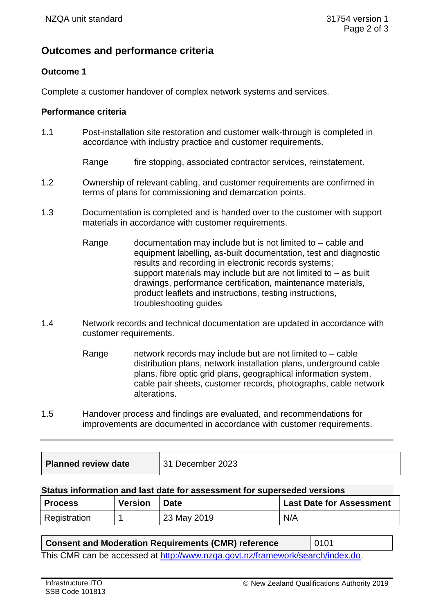# **Outcomes and performance criteria**

### **Outcome 1**

Complete a customer handover of complex network systems and services.

### **Performance criteria**

1.1 Post-installation site restoration and customer walk-through is completed in accordance with industry practice and customer requirements.

Range fire stopping, associated contractor services, reinstatement.

- 1.2 Ownership of relevant cabling, and customer requirements are confirmed in terms of plans for commissioning and demarcation points.
- 1.3 Documentation is completed and is handed over to the customer with support materials in accordance with customer requirements.
	- Range documentation may include but is not limited to cable and equipment labelling, as-built documentation, test and diagnostic results and recording in electronic records systems; support materials may include but are not limited to – as built drawings, performance certification, maintenance materials, product leaflets and instructions, testing instructions, troubleshooting guides
- 1.4 Network records and technical documentation are updated in accordance with customer requirements.
	- Range network records may include but are not limited to cable distribution plans, network installation plans, underground cable plans, fibre optic grid plans, geographical information system, cable pair sheets, customer records, photographs, cable network alterations.
- 1.5 Handover process and findings are evaluated, and recommendations for improvements are documented in accordance with customer requirements.

| <b>Planned review date</b> | 31 December 2023 |
|----------------------------|------------------|
|                            |                  |

#### **Status information and last date for assessment for superseded versions**

| <b>Process</b> | <b>Version</b> | <b>Date</b> | <b>Last Date for Assessment</b> |
|----------------|----------------|-------------|---------------------------------|
| Registration   |                | 23 May 2019 | N/A                             |

### **Consent and Moderation Requirements (CMR) reference** | 0101

This CMR can be accessed at [http://www.nzqa.govt.nz/framework/search/index.do.](http://www.nzqa.govt.nz/framework/search/index.do)